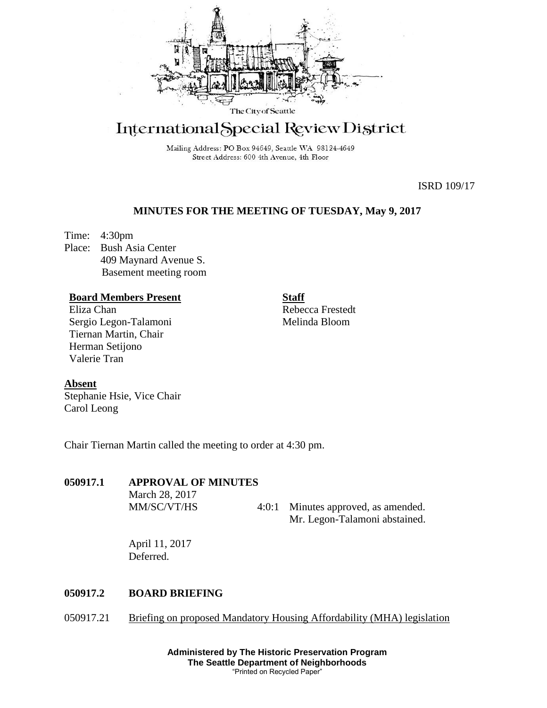

# International Special Review District

Mailing Address: PO Box 94649, Seattle WA 98124-4649 Street Address: 600 4th Avenue, 4th Floor

ISRD 109/17

## **MINUTES FOR THE MEETING OF TUESDAY, May 9, 2017**

Time: 4:30pm Place: Bush Asia Center 409 Maynard Avenue S. Basement meeting room

#### **Board Members Present**

Eliza Chan Sergio Legon-Talamoni Tiernan Martin, Chair Herman Setijono Valerie Tran

**Staff** Rebecca Frestedt Melinda Bloom

#### **Absent**

Stephanie Hsie, Vice Chair Carol Leong

Chair Tiernan Martin called the meeting to order at 4:30 pm.

#### **050917.1 APPROVAL OF MINUTES**

March 28, 2017

MM/SC/VT/HS 4:0:1 Minutes approved, as amended. Mr. Legon-Talamoni abstained.

April 11, 2017 Deferred.

### **050917.2 BOARD BRIEFING**

050917.21 Briefing on proposed Mandatory Housing Affordability (MHA) legislation

**Administered by The Historic Preservation Program The Seattle Department of Neighborhoods** "Printed on Recycled Paper"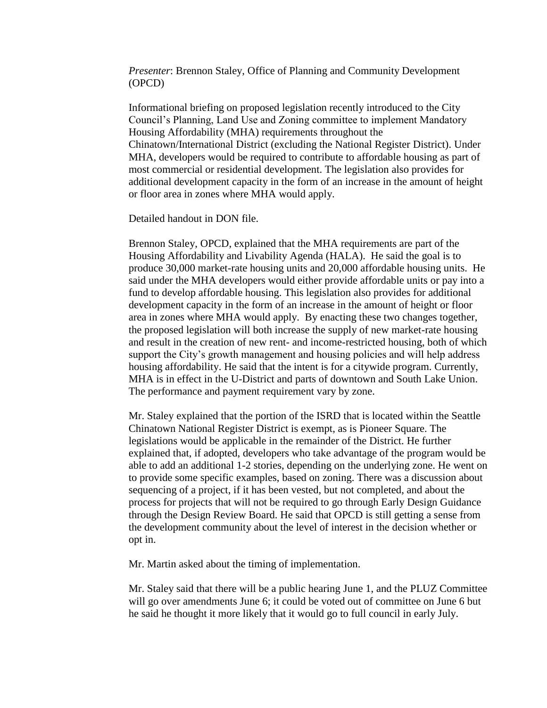*Presenter*: Brennon Staley, Office of Planning and Community Development (OPCD)

Informational briefing on proposed legislation recently introduced to the City Council's Planning, Land Use and Zoning committee to implement Mandatory Housing Affordability (MHA) requirements throughout the Chinatown/International District (excluding the National Register District). Under MHA, developers would be required to contribute to affordable housing as part of most commercial or residential development. The legislation also provides for additional development capacity in the form of an increase in the amount of height or floor area in zones where MHA would apply.

Detailed handout in DON file.

Brennon Staley, OPCD, explained that the MHA requirements are part of the Housing Affordability and Livability Agenda (HALA). He said the goal is to produce 30,000 market-rate housing units and 20,000 affordable housing units. He said under the MHA developers would either provide affordable units or pay into a fund to develop affordable housing. This legislation also provides for additional development capacity in the form of an increase in the amount of height or floor area in zones where MHA would apply. By enacting these two changes together, the proposed legislation will both increase the supply of new market-rate housing and result in the creation of new rent- and income-restricted housing, both of which support the City's growth management and housing policies and will help address housing affordability. He said that the intent is for a citywide program. Currently, MHA is in effect in the U-District and parts of downtown and South Lake Union. The performance and payment requirement vary by zone.

Mr. Staley explained that the portion of the ISRD that is located within the Seattle Chinatown National Register District is exempt, as is Pioneer Square. The legislations would be applicable in the remainder of the District. He further explained that, if adopted, developers who take advantage of the program would be able to add an additional 1-2 stories, depending on the underlying zone. He went on to provide some specific examples, based on zoning. There was a discussion about sequencing of a project, if it has been vested, but not completed, and about the process for projects that will not be required to go through Early Design Guidance through the Design Review Board. He said that OPCD is still getting a sense from the development community about the level of interest in the decision whether or opt in.

Mr. Martin asked about the timing of implementation.

Mr. Staley said that there will be a public hearing June 1, and the PLUZ Committee will go over amendments June 6; it could be voted out of committee on June 6 but he said he thought it more likely that it would go to full council in early July.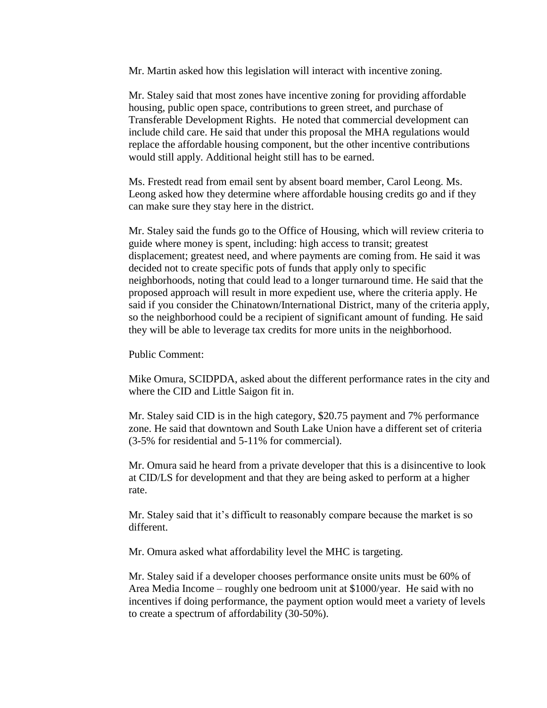Mr. Martin asked how this legislation will interact with incentive zoning.

Mr. Staley said that most zones have incentive zoning for providing affordable housing, public open space, contributions to green street, and purchase of Transferable Development Rights. He noted that commercial development can include child care. He said that under this proposal the MHA regulations would replace the affordable housing component, but the other incentive contributions would still apply. Additional height still has to be earned.

Ms. Frestedt read from email sent by absent board member, Carol Leong. Ms. Leong asked how they determine where affordable housing credits go and if they can make sure they stay here in the district.

Mr. Staley said the funds go to the Office of Housing, which will review criteria to guide where money is spent, including: high access to transit; greatest displacement; greatest need, and where payments are coming from. He said it was decided not to create specific pots of funds that apply only to specific neighborhoods, noting that could lead to a longer turnaround time. He said that the proposed approach will result in more expedient use, where the criteria apply. He said if you consider the Chinatown/International District, many of the criteria apply, so the neighborhood could be a recipient of significant amount of funding. He said they will be able to leverage tax credits for more units in the neighborhood.

Public Comment:

Mike Omura, SCIDPDA, asked about the different performance rates in the city and where the CID and Little Saigon fit in.

Mr. Staley said CID is in the high category, \$20.75 payment and 7% performance zone. He said that downtown and South Lake Union have a different set of criteria (3-5% for residential and 5-11% for commercial).

Mr. Omura said he heard from a private developer that this is a disincentive to look at CID/LS for development and that they are being asked to perform at a higher rate.

Mr. Staley said that it's difficult to reasonably compare because the market is so different.

Mr. Omura asked what affordability level the MHC is targeting.

Mr. Staley said if a developer chooses performance onsite units must be 60% of Area Media Income – roughly one bedroom unit at \$1000/year. He said with no incentives if doing performance, the payment option would meet a variety of levels to create a spectrum of affordability (30-50%).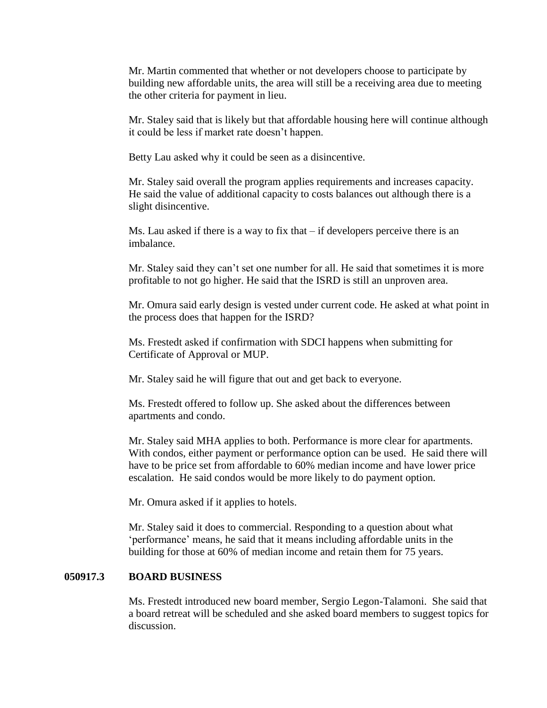Mr. Martin commented that whether or not developers choose to participate by building new affordable units, the area will still be a receiving area due to meeting the other criteria for payment in lieu.

Mr. Staley said that is likely but that affordable housing here will continue although it could be less if market rate doesn't happen.

Betty Lau asked why it could be seen as a disincentive.

Mr. Staley said overall the program applies requirements and increases capacity. He said the value of additional capacity to costs balances out although there is a slight disincentive.

Ms. Lau asked if there is a way to fix that – if developers perceive there is an imbalance.

Mr. Staley said they can't set one number for all. He said that sometimes it is more profitable to not go higher. He said that the ISRD is still an unproven area.

Mr. Omura said early design is vested under current code. He asked at what point in the process does that happen for the ISRD?

Ms. Frestedt asked if confirmation with SDCI happens when submitting for Certificate of Approval or MUP.

Mr. Staley said he will figure that out and get back to everyone.

Ms. Frestedt offered to follow up. She asked about the differences between apartments and condo.

Mr. Staley said MHA applies to both. Performance is more clear for apartments. With condos, either payment or performance option can be used. He said there will have to be price set from affordable to 60% median income and have lower price escalation. He said condos would be more likely to do payment option.

Mr. Omura asked if it applies to hotels.

Mr. Staley said it does to commercial. Responding to a question about what 'performance' means, he said that it means including affordable units in the building for those at 60% of median income and retain them for 75 years.

#### **050917.3 BOARD BUSINESS**

Ms. Frestedt introduced new board member, Sergio Legon-Talamoni. She said that a board retreat will be scheduled and she asked board members to suggest topics for discussion.